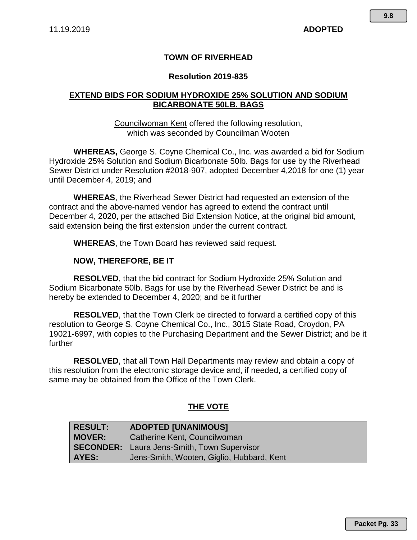# **TOWN OF RIVERHEAD**

## **Resolution 2019-835**

# **EXTEND BIDS FOR SODIUM HYDROXIDE 25% SOLUTION AND SODIUM BICARBONATE 50LB. BAGS**

## Councilwoman Kent offered the following resolution, which was seconded by Councilman Wooten

**WHEREAS,** George S. Coyne Chemical Co., Inc. was awarded a bid for Sodium Hydroxide 25% Solution and Sodium Bicarbonate 50lb. Bags for use by the Riverhead Sewer District under Resolution #2018-907, adopted December 4,2018 for one (1) year until December 4, 2019; and

**WHEREAS**, the Riverhead Sewer District had requested an extension of the contract and the above-named vendor has agreed to extend the contract until December 4, 2020, per the attached Bid Extension Notice, at the original bid amount, said extension being the first extension under the current contract.

**WHEREAS**, the Town Board has reviewed said request.

#### **NOW, THEREFORE, BE IT**

**RESOLVED**, that the bid contract for Sodium Hydroxide 25% Solution and Sodium Bicarbonate 50lb. Bags for use by the Riverhead Sewer District be and is hereby be extended to December 4, 2020; and be it further

**RESOLVED**, that the Town Clerk be directed to forward a certified copy of this resolution to George S. Coyne Chemical Co., Inc., 3015 State Road, Croydon, PA 19021-6997, with copies to the Purchasing Department and the Sewer District; and be it further

**RESOLVED**, that all Town Hall Departments may review and obtain a copy of this resolution from the electronic storage device and, if needed, a certified copy of same may be obtained from the Office of the Town Clerk.

# **THE VOTE**

| <b>RESULT:</b> | <b>ADOPTED [UNANIMOUS]</b>                         |
|----------------|----------------------------------------------------|
| <b>MOVER:</b>  | Catherine Kent, Councilwoman                       |
|                | <b>SECONDER:</b> Laura Jens-Smith, Town Supervisor |
| AYES:          | Jens-Smith, Wooten, Giglio, Hubbard, Kent          |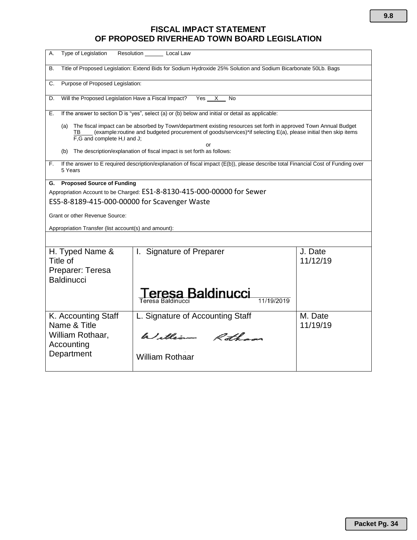# **FISCAL IMPACT STATEMENT OF PROPOSED RIVERHEAD TOWN BOARD LEGISLATION**

| Type of Legislation<br>А.                                                                                                                                                                                                                                                            | Resolution Local Law                                                                              |                     |  |
|--------------------------------------------------------------------------------------------------------------------------------------------------------------------------------------------------------------------------------------------------------------------------------------|---------------------------------------------------------------------------------------------------|---------------------|--|
| Title of Proposed Legislation: Extend Bids for Sodium Hydroxide 25% Solution and Sodium Bicarbonate 50Lb. Bags<br>В.                                                                                                                                                                 |                                                                                                   |                     |  |
| Purpose of Proposed Legislation:<br>C.                                                                                                                                                                                                                                               |                                                                                                   |                     |  |
| Will the Proposed Legislation Have a Fiscal Impact?<br>D.                                                                                                                                                                                                                            | Yes<br>X —<br>No                                                                                  |                     |  |
| Е.                                                                                                                                                                                                                                                                                   | If the answer to section D is "yes", select (a) or (b) below and initial or detail as applicable: |                     |  |
| The fiscal impact can be absorbed by Town/department existing resources set forth in approved Town Annual Budget<br>(a)<br>(example:routine and budgeted procurement of goods/services)*if selecting E(a), please initial then skip items<br>TB<br>F,G and complete H,I and J;<br>or |                                                                                                   |                     |  |
| (b)                                                                                                                                                                                                                                                                                  | The description/explanation of fiscal impact is set forth as follows:                             |                     |  |
| If the answer to E required description/explanation of fiscal impact (E(b)), please describe total Financial Cost of Funding over<br>F.<br>5 Years                                                                                                                                   |                                                                                                   |                     |  |
| <b>Proposed Source of Funding</b><br>G.                                                                                                                                                                                                                                              |                                                                                                   |                     |  |
| Appropriation Account to be Charged: ES1-8-8130-415-000-00000 for Sewer                                                                                                                                                                                                              |                                                                                                   |                     |  |
| ES5-8-8189-415-000-00000 for Scavenger Waste                                                                                                                                                                                                                                         |                                                                                                   |                     |  |
| Grant or other Revenue Source:                                                                                                                                                                                                                                                       |                                                                                                   |                     |  |
| Appropriation Transfer (list account(s) and amount):                                                                                                                                                                                                                                 |                                                                                                   |                     |  |
|                                                                                                                                                                                                                                                                                      |                                                                                                   |                     |  |
| H. Typed Name &<br>Title of<br>Preparer: Teresa<br><b>Baldinucci</b>                                                                                                                                                                                                                 | I. Signature of Preparer                                                                          | J. Date<br>11/12/19 |  |
|                                                                                                                                                                                                                                                                                      | Teresa Baldinucci<br>11/19/2019                                                                   |                     |  |
| K. Accounting Staff<br>Name & Title                                                                                                                                                                                                                                                  | L. Signature of Accounting Staff                                                                  | M. Date<br>11/19/19 |  |
| William Rothaar,<br>Accounting                                                                                                                                                                                                                                                       | William Rothans                                                                                   |                     |  |
| Department                                                                                                                                                                                                                                                                           | <b>William Rothaar</b>                                                                            |                     |  |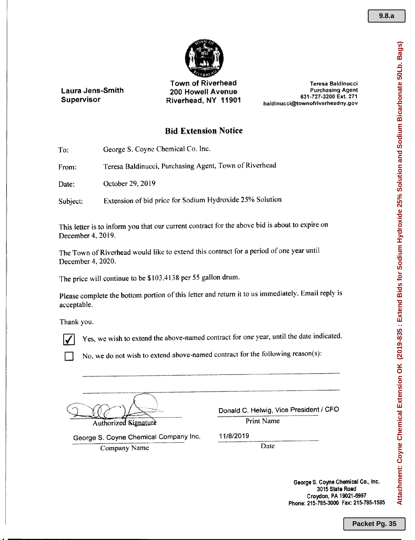

Laura Jens-Smith Supervisor

Town of Riverhead 200 Howell Avenue Riverhead, NY 11901

Teresa Baldinucci Purchasing Agent 631·727·3200 Ext. 271 baldinucci@townofriverheadny.gov

## **Bid** Extension Notice

To: George S. Coyne Chemical Co. Inc.

From: Teresa Baldinucci, Purchasing Agent, Town of Riverhead

Date: October 29, 2019

Subject: Extension of bid price for Sodium Hydroxide 25% Solution

This tetter is to inform you that our current contract for the above bid is about to expire on December 4, 2019.

The Town of Riverhead would like to extend this contract for a period of one year until December 4, 2020.

The price will continue to be \$103.413& per 55 gallon drum.

Please complete the bottom portion of this letter and return it to us immediately. Email reply is acceptable.

Thank you.



Yes, we wish to extend the above-named contract for one year, until the date indicated.

No, we do not wish to extend above-named contract for the following reason(s):

Authorized Signature

Donald C. Helwig, Vice President / CFO Print Name

George S. Coyne Chemica! Company Inc. *11/8/2019* Company Name Date

George S. Coyne Chemical Co., Inc. 3015 State Road Croydon, PA 19021·6997 Phone: 215-785-3000 Fax: 215-785-1585